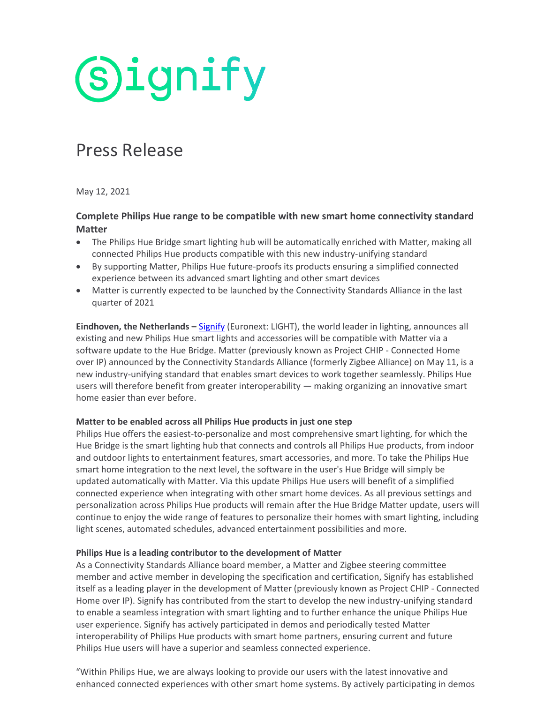# **Signify**

### Press Release

May 12, 2021

#### **Complete Philips Hue range to be compatible with new smart home connectivity standard Matter**

- The Philips Hue Bridge smart lighting hub will be automatically enriched with Matter, making all connected Philips Hue products compatible with this new industry-unifying standard
- By supporting Matter, Philips Hue future-proofs its products ensuring a simplified connected experience between its advanced smart lighting and other smart devices
- Matter is currently expected to be launched by the Connectivity Standards Alliance in the last quarter of 2021

**Eindhoven, the Netherlands –** [Signify](https://www.signify.com/) (Euronext: LIGHT), the world leader in lighting, announces all existing and new Philips Hue smart lights and accessories will be compatible with Matter via a software update to the Hue Bridge. Matter (previously known as Project CHIP - Connected Home over IP) announced by the Connectivity Standards Alliance (formerly Zigbee Alliance) on May 11, is a new industry-unifying standard that enables smart devices to work together seamlessly. Philips Hue users will therefore benefit from greater interoperability — making organizing an innovative smart home easier than ever before.

#### **Matter to be enabled across all Philips Hue products in just one step**

Philips Hue offers the easiest-to-personalize and most comprehensive smart lighting, for which the Hue Bridge is the smart lighting hub that connects and controls all Philips Hue products, from indoor and outdoor lights to entertainment features, smart accessories, and more. To take the Philips Hue smart home integration to the next level, the software in the user's Hue Bridge will simply be updated automatically with Matter. Via this update Philips Hue users will benefit of a simplified connected experience when integrating with other smart home devices. As all previous settings and personalization across Philips Hue products will remain after the Hue Bridge Matter update, users will continue to enjoy the wide range of features to personalize their homes with smart lighting, including light scenes, automated schedules, advanced entertainment possibilities and more.

#### **Philips Hue is a leading contributor to the development of Matter**

As a Connectivity Standards Alliance board member, a Matter and Zigbee steering committee member and active member in developing the specification and certification, Signify has established itself as a leading player in the development of Matter (previously known as Project CHIP - Connected Home over IP). Signify has contributed from the start to develop the new industry-unifying standard to enable a seamless integration with smart lighting and to further enhance the unique Philips Hue user experience. Signify has actively participated in demos and periodically tested Matter interoperability of Philips Hue products with smart home partners, ensuring current and future Philips Hue users will have a superior and seamless connected experience.

"Within Philips Hue, we are always looking to provide our users with the latest innovative and enhanced connected experiences with other smart home systems. By actively participating in demos